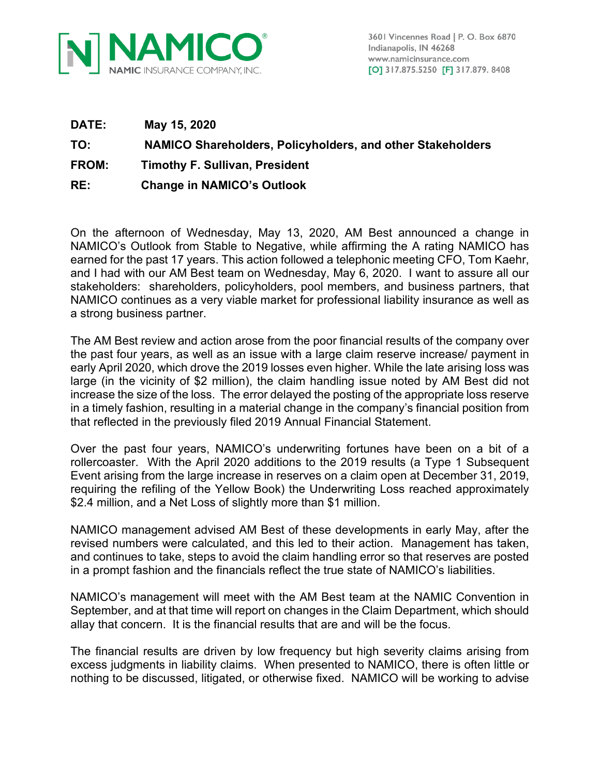

3601 Vincennes Road | P. O. Box 6870 Indianapolis, IN 46268 www.namicinsurance.com [O] 317.875.5250 [F] 317.879. 8408

**DATE: May 15, 2020 TO: NAMICO Shareholders, Policyholders, and other Stakeholders FROM: Timothy F. Sullivan, President RE: Change in NAMICO's Outlook**

On the afternoon of Wednesday, May 13, 2020, AM Best announced a change in NAMICO's Outlook from Stable to Negative, while affirming the A rating NAMICO has earned for the past 17 years. This action followed a telephonic meeting CFO, Tom Kaehr, and I had with our AM Best team on Wednesday, May 6, 2020. I want to assure all our stakeholders: shareholders, policyholders, pool members, and business partners, that NAMICO continues as a very viable market for professional liability insurance as well as a strong business partner.

The AM Best review and action arose from the poor financial results of the company over the past four years, as well as an issue with a large claim reserve increase/ payment in early April 2020, which drove the 2019 losses even higher. While the late arising loss was large (in the vicinity of \$2 million), the claim handling issue noted by AM Best did not increase the size of the loss. The error delayed the posting of the appropriate loss reserve in a timely fashion, resulting in a material change in the company's financial position from that reflected in the previously filed 2019 Annual Financial Statement.

Over the past four years, NAMICO's underwriting fortunes have been on a bit of a rollercoaster. With the April 2020 additions to the 2019 results (a Type 1 Subsequent Event arising from the large increase in reserves on a claim open at December 31, 2019, requiring the refiling of the Yellow Book) the Underwriting Loss reached approximately \$2.4 million, and a Net Loss of slightly more than \$1 million.

NAMICO management advised AM Best of these developments in early May, after the revised numbers were calculated, and this led to their action. Management has taken, and continues to take, steps to avoid the claim handling error so that reserves are posted in a prompt fashion and the financials reflect the true state of NAMICO's liabilities.

NAMICO's management will meet with the AM Best team at the NAMIC Convention in September, and at that time will report on changes in the Claim Department, which should allay that concern. It is the financial results that are and will be the focus.

The financial results are driven by low frequency but high severity claims arising from excess judgments in liability claims. When presented to NAMICO, there is often little or nothing to be discussed, litigated, or otherwise fixed. NAMICO will be working to advise